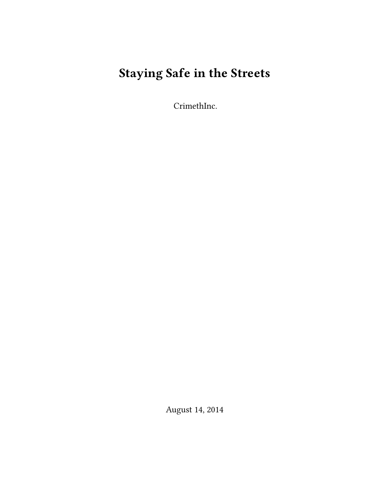# **Staying Safe in the Streets**

CrimethInc.

August 14, 2014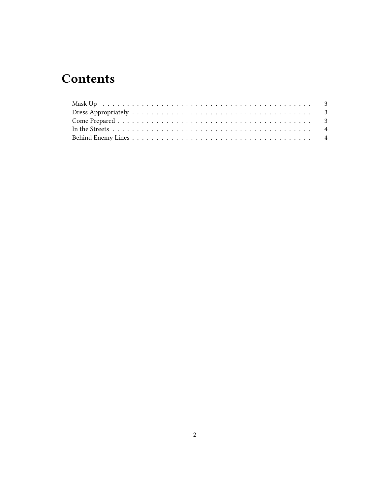## **Contents**

| Mask Up received a conservation of the set of the contract of the contract of the set of the set of the set of the set of the set of the set of the set of the set of the set of the set of the set of the set of the set of t |  |
|--------------------------------------------------------------------------------------------------------------------------------------------------------------------------------------------------------------------------------|--|
|                                                                                                                                                                                                                                |  |
|                                                                                                                                                                                                                                |  |
|                                                                                                                                                                                                                                |  |
|                                                                                                                                                                                                                                |  |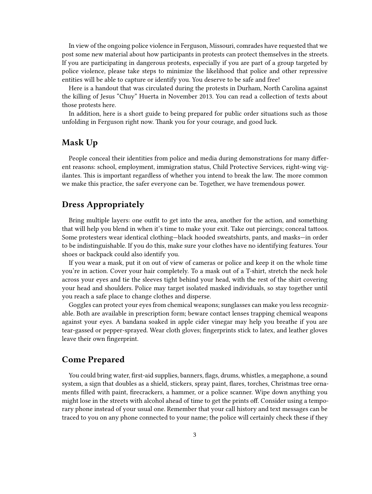In view of the ongoing police violence in Ferguson, Missouri, comrades have requested that we post some new material about how participants in protests can protect themselves in the streets. If you are participating in dangerous protests, especially if you are part of a group targeted by police violence, please take steps to minimize the likelihood that police and other repressive entities will be able to capture or identify you. You deserve to be safe and free!

Here is a handout that was circulated during the protests in Durham, North Carolina against the killing of Jesus "Chuy" Huerta in November 2013. You can read a collection of texts about those protests here.

In addition, here is a short guide to being prepared for public order situations such as those unfolding in Ferguson right now. Thank you for your courage, and good luck.

#### <span id="page-2-0"></span>**Mask Up**

People conceal their identities from police and media during demonstrations for many different reasons: school, employment, immigration status, Child Protective Services, right-wing vigilantes. This is important regardless of whether you intend to break the law. The more common we make this practice, the safer everyone can be. Together, we have tremendous power.

#### <span id="page-2-1"></span>**Dress Appropriately**

Bring multiple layers: one outfit to get into the area, another for the action, and something that will help you blend in when it's time to make your exit. Take out piercings; conceal tattoos. Some protesters wear identical clothing—black hooded sweatshirts, pants, and masks—in order to be indistinguishable. If you do this, make sure your clothes have no identifying features. Your shoes or backpack could also identify you.

If you wear a mask, put it on out of view of cameras or police and keep it on the whole time you're in action. Cover your hair completely. To a mask out of a T-shirt, stretch the neck hole across your eyes and tie the sleeves tight behind your head, with the rest of the shirt covering your head and shoulders. Police may target isolated masked individuals, so stay together until you reach a safe place to change clothes and disperse.

Goggles can protect your eyes from chemical weapons; sunglasses can make you less recognizable. Both are available in prescription form; beware contact lenses trapping chemical weapons against your eyes. A bandana soaked in apple cider vinegar may help you breathe if you are tear-gassed or pepper-sprayed. Wear cloth gloves; fingerprints stick to latex, and leather gloves leave their own fingerprint.

#### <span id="page-2-2"></span>**Come Prepared**

You could bring water, first-aid supplies, banners, flags, drums, whistles, a megaphone, a sound system, a sign that doubles as a shield, stickers, spray paint, flares, torches, Christmas tree ornaments filled with paint, firecrackers, a hammer, or a police scanner. Wipe down anything you might lose in the streets with alcohol ahead of time to get the prints off. Consider using a temporary phone instead of your usual one. Remember that your call history and text messages can be traced to you on any phone connected to your name; the police will certainly check these if they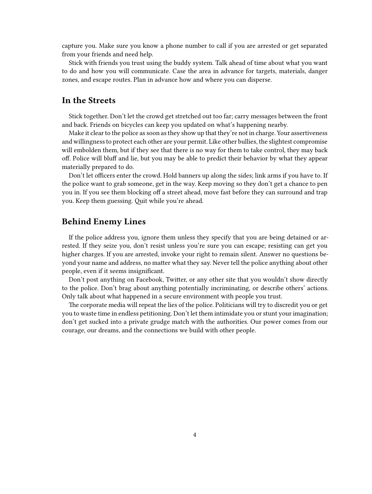capture you. Make sure you know a phone number to call if you are arrested or get separated from your friends and need help.

Stick with friends you trust using the buddy system. Talk ahead of time about what you want to do and how you will communicate. Case the area in advance for targets, materials, danger zones, and escape routes. Plan in advance how and where you can disperse.

#### <span id="page-3-0"></span>**In the Streets**

Stick together. Don't let the crowd get stretched out too far; carry messages between the front and back. Friends on bicycles can keep you updated on what's happening nearby.

Make it clear to the police as soon as they show up that they're not in charge. Your assertiveness and willingness to protect each other are your permit. Like other bullies, the slightest compromise will embolden them, but if they see that there is no way for them to take control, they may back off. Police will bluff and lie, but you may be able to predict their behavior by what they appear materially prepared to do.

Don't let officers enter the crowd. Hold banners up along the sides; link arms if you have to. If the police want to grab someone, get in the way. Keep moving so they don't get a chance to pen you in. If you see them blocking off a street ahead, move fast before they can surround and trap you. Keep them guessing. Quit while you're ahead.

#### <span id="page-3-1"></span>**Behind Enemy Lines**

If the police address you, ignore them unless they specify that you are being detained or arrested. If they seize you, don't resist unless you're sure you can escape; resisting can get you higher charges. If you are arrested, invoke your right to remain silent. Answer no questions beyond your name and address, no matter what they say. Never tell the police anything about other people, even if it seems insignificant.

Don't post anything on Facebook, Twitter, or any other site that you wouldn't show directly to the police. Don't brag about anything potentially incriminating, or describe others' actions. Only talk about what happened in a secure environment with people you trust.

The corporate media will repeat the lies of the police. Politicians will try to discredit you or get you to waste time in endless petitioning. Don't let them intimidate you or stunt your imagination; don't get sucked into a private grudge match with the authorities. Our power comes from our courage, our dreams, and the connections we build with other people.